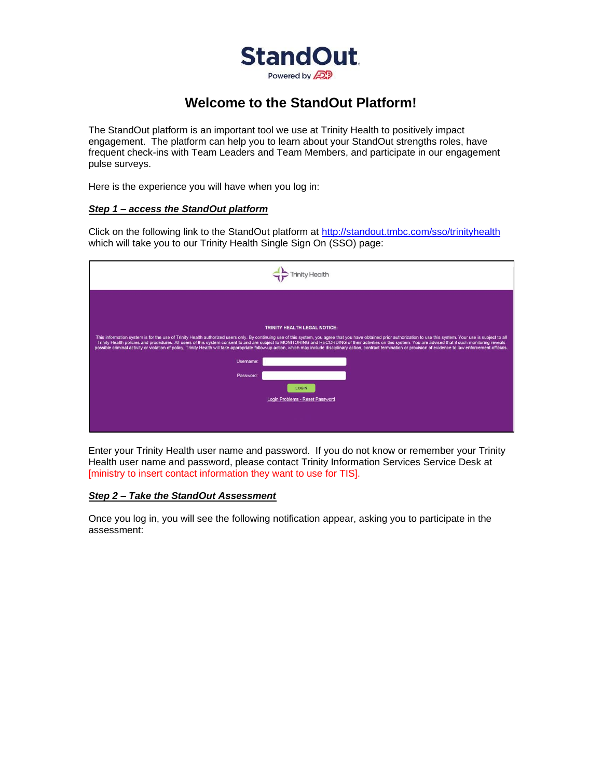

## **Welcome to the StandOut Platform!**

The StandOut platform is an important tool we use at Trinity Health to positively impact engagement. The platform can help you to learn about your StandOut strengths roles, have frequent check-ins with Team Leaders and Team Members, and participate in our engagement pulse surveys.

Here is the experience you will have when you log in:

## *Step 1 – access the StandOut platform*

Click on the following link to the StandOut platform at<http://standout.tmbc.com/sso/trinityhealth> which will take you to our Trinity Health Single Sign On (SSO) page:

| Username:<br>Password | <b>TRINITY HEALTH LEGAL NOTICE:</b><br>This information system is for the use of Trinity Health authorized users only. By continuing use of this system, you agree that you have obtained prior authorization to use this system. Your use is subject to all<br>Trinity Health policies and procedures. All users of this system consent to and are subject to MONITORING and RECORDING of their activities on this system. You are advised that if such monitoring reveals<br>possible criminal activity or violation of policy, Trinity Health will take appropriate follow-up action, which may include disciplinary action, contract termination or provision of evidence to law enforcement officials.<br>LOGIN<br>Login Problems - Reset Password |
|-----------------------|---------------------------------------------------------------------------------------------------------------------------------------------------------------------------------------------------------------------------------------------------------------------------------------------------------------------------------------------------------------------------------------------------------------------------------------------------------------------------------------------------------------------------------------------------------------------------------------------------------------------------------------------------------------------------------------------------------------------------------------------------------|

Enter your Trinity Health user name and password. If you do not know or remember your Trinity Health user name and password, please contact Trinity Information Services Service Desk at [ministry to insert contact information they want to use for TIS].

## *Step 2 – Take the StandOut Assessment*

Once you log in, you will see the following notification appear, asking you to participate in the assessment: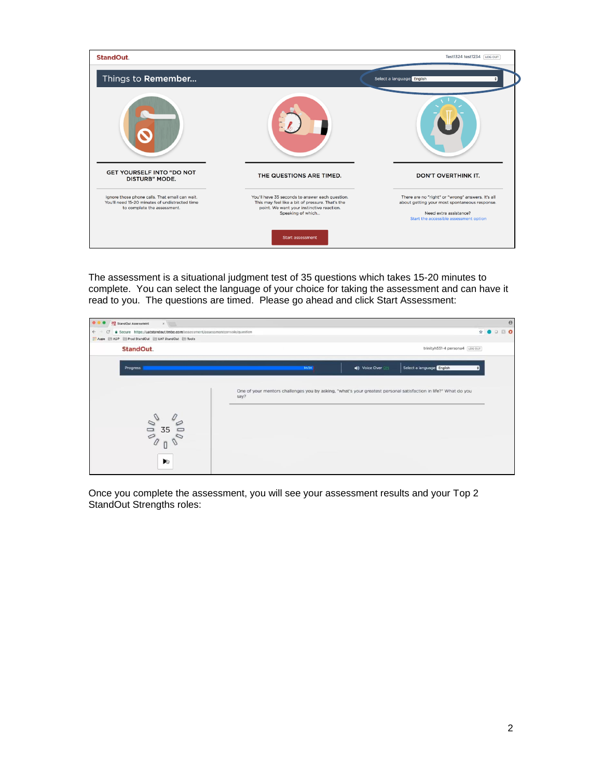

The assessment is a situational judgment test of 35 questions which takes 15-20 minutes to complete. You can select the language of your choice for taking the assessment and can have it read to you. The questions are timed. Please go ahead and click Start Assessment:



Once you complete the assessment, you will see your assessment results and your Top 2 StandOut Strengths roles: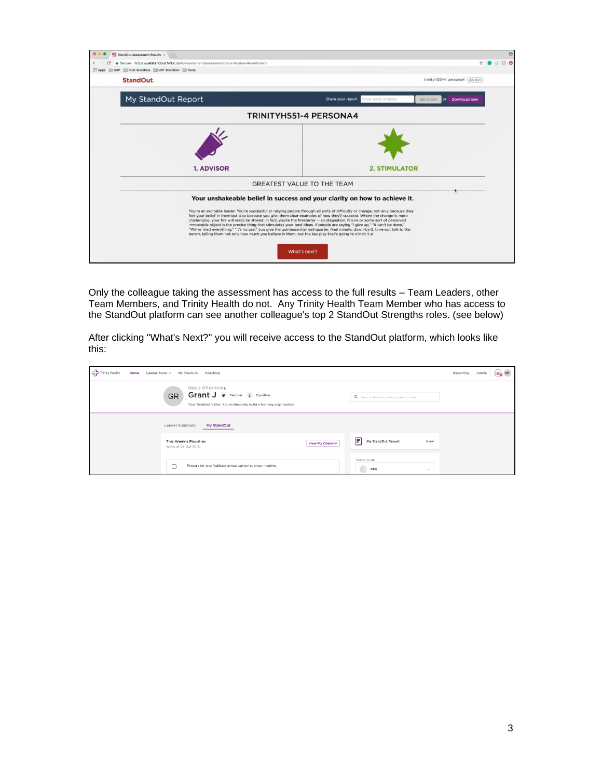| StandOut Assessment Results x                                                                                                                                                                                                                                                                                                                                                                                                                                                                                                                                                                                                                                                                                                                                                       | $\Theta$                                                                                  |
|-------------------------------------------------------------------------------------------------------------------------------------------------------------------------------------------------------------------------------------------------------------------------------------------------------------------------------------------------------------------------------------------------------------------------------------------------------------------------------------------------------------------------------------------------------------------------------------------------------------------------------------------------------------------------------------------------------------------------------------------------------------------------------------|-------------------------------------------------------------------------------------------|
| · Secure https://uatstandout.tmbc.com/assessment/assessmentconsole/showResultsHero<br>e<br>FILADP FILE Prod StandOut FILE UAT StandOut FILE Tools<br>$\cdots$ Apps                                                                                                                                                                                                                                                                                                                                                                                                                                                                                                                                                                                                                  | $\Box$ $\Omega$                                                                           |
| StandOut.                                                                                                                                                                                                                                                                                                                                                                                                                                                                                                                                                                                                                                                                                                                                                                           | trinityh551-4 persona4 Los out                                                            |
| My StandOut Report                                                                                                                                                                                                                                                                                                                                                                                                                                                                                                                                                                                                                                                                                                                                                                  | Share your report<br>Enter email address<br>Send now<br>or Download now                   |
|                                                                                                                                                                                                                                                                                                                                                                                                                                                                                                                                                                                                                                                                                                                                                                                     | TRINITYH551-4 PERSONA4                                                                    |
| 1. ADVISOR                                                                                                                                                                                                                                                                                                                                                                                                                                                                                                                                                                                                                                                                                                                                                                          | <b>2. STIMULATOR</b>                                                                      |
|                                                                                                                                                                                                                                                                                                                                                                                                                                                                                                                                                                                                                                                                                                                                                                                     | <b>GREATEST VALUE TO THE TEAM</b>                                                         |
| You're an excitable leader. You're successful at railying people through all sorts of difficulty or change, not only because they<br>feel your belief in them but also because you give them clear examples of how they'll succeed. Where the change is more<br>challenging, your fire will really be stoked. In fact, you're the firestarter -- so stagnation, failure or some sort of perceived<br>immovable object is the precise thing that stimulates your best ideas. If people are saying "I give up," "It can't be done,"<br>"We've tried everything," "It's no use," you give the quintessential last-quarter, final minute, down-by-2, time-out talk to the<br>bench, telling them not only how much you believe in them, but the key play that's going to clinch it all. | Your unshakeable belief in success and your clarity on how to achieve it.<br>What's next? |

Only the colleague taking the assessment has access to the full results – Team Leaders, other Team Members, and Trinity Health do not. Any Trinity Health Team Member who has access to the StandOut platform can see another colleague's top 2 StandOut Strengths roles. (see below)

After clicking "What's Next?" you will receive access to the StandOut platform, which looks like this:

| $\leftarrow$ Trinity Health<br>Home | Leader Tools ~<br>My Check-In Coaching                                                                                                 |                  |                                      |              |  |  |  |
|-------------------------------------|----------------------------------------------------------------------------------------------------------------------------------------|------------------|--------------------------------------|--------------|--|--|--|
|                                     | Good Afternoon,<br>Grant J v Teacher T Equalizer<br><b>GR</b><br>Your Greatest Value: You instinctively build a learning organization. |                  | Q Search for people by name or email |              |  |  |  |
|                                     | Leader Summary<br>My StandOut                                                                                                          |                  |                                      |              |  |  |  |
|                                     | <b>This Week's Priorities</b><br>Week of 05 Oct 2020                                                                                   | View My Check-In | F<br>My StandOut Report              | View         |  |  |  |
|                                     | Prepare for and facilitate annual survey sponsor meeting                                                                               |                  | Teams I'm On<br>CCE<br>51)           | $\checkmark$ |  |  |  |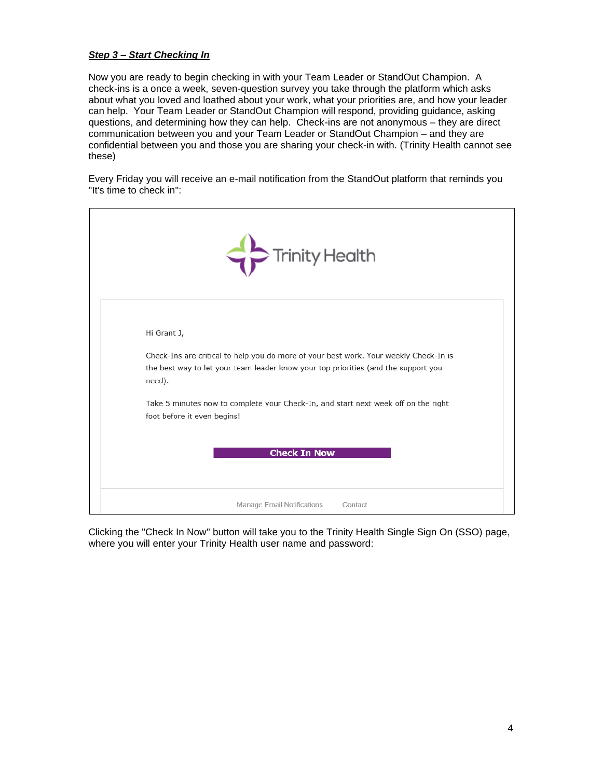## *Step 3 – Start Checking In*

Now you are ready to begin checking in with your Team Leader or StandOut Champion. A check-ins is a once a week, seven-question survey you take through the platform which asks about what you loved and loathed about your work, what your priorities are, and how your leader can help. Your Team Leader or StandOut Champion will respond, providing guidance, asking questions, and determining how they can help. Check-ins are not anonymous – they are direct communication between you and your Team Leader or StandOut Champion – and they are confidential between you and those you are sharing your check-in with. (Trinity Health cannot see these)

Every Friday you will receive an e-mail notification from the StandOut platform that reminds you "It's time to check in":

| Trinity Health                                                                                                                                                                                       |
|------------------------------------------------------------------------------------------------------------------------------------------------------------------------------------------------------|
| Hi Grant J,<br>Check-Ins are critical to help you do more of your best work. Your weekly Check-In is<br>the best way to let your team leader know your top priorities (and the support you<br>need). |
| Take 5 minutes now to complete your Check-In, and start next week off on the right<br>foot before it even begins!<br><b>Check In Now</b>                                                             |
| Manage Email Notifications<br>Contact                                                                                                                                                                |

Clicking the "Check In Now" button will take you to the Trinity Health Single Sign On (SSO) page, where you will enter your Trinity Health user name and password: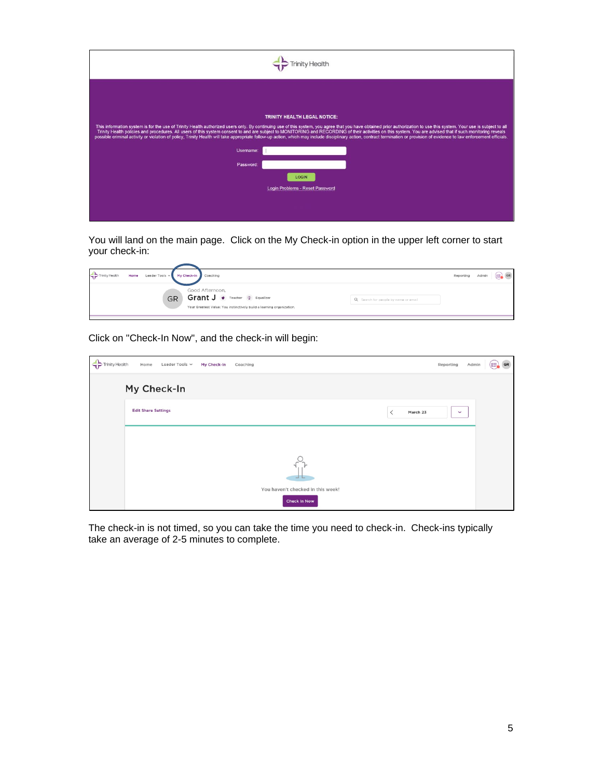| Username<br>Password | <b>TRINITY HEALTH LEGAL NOTICE:</b><br>This information system is for the use of Trinity Health authorized users only. By continuing use of this system, you agree that you have obtained prior authorization to use this system. Your use is subject to all<br>Trinity Health policies and procedures. All users of this system consent to and are subject to MONITORING and RECORDING of their activities on this system. You are advised that if such monitoring reveals<br>possible criminal activity or violation of policy, Trinity Health will take appropriate follow-up action, which may include disciplinary action, contract termination or provision of evidence to law enforcement officials.<br>LOGIN<br>Login Problems - Reset Password |
|----------------------|---------------------------------------------------------------------------------------------------------------------------------------------------------------------------------------------------------------------------------------------------------------------------------------------------------------------------------------------------------------------------------------------------------------------------------------------------------------------------------------------------------------------------------------------------------------------------------------------------------------------------------------------------------------------------------------------------------------------------------------------------------|

You will land on the main page. Click on the My Check-in option in the upper left corner to start your check-in:

| Trinity Health<br>Home | Leader Tools ~ My Check-In Coaching                                                                                       |                                      | Reporting | Admin | $(\equiv)$ GR |
|------------------------|---------------------------------------------------------------------------------------------------------------------------|--------------------------------------|-----------|-------|---------------|
| <b>GR</b>              | Good Afternoon,<br>Grant J v Teacher T Equalizer<br>Your Greatest Value: You instinctively build a learning organization. | Q Search for people by name or email |           |       |               |

Click on "Check-In Now", and the check-in will begin:

| $\leftrightarrow$ Trinity Health | Leader Tools ~<br>Home<br>My Check-In<br>Coaching                            | $(\equiv)$ GR<br>Reporting<br>Admin |
|----------------------------------|------------------------------------------------------------------------------|-------------------------------------|
|                                  | My Check-In                                                                  |                                     |
|                                  | <b>Edit Share Settings</b>                                                   | March 23<br>$\checkmark$            |
|                                  |                                                                              |                                     |
|                                  | $\begin{array}{c} \begin{array}{c} \begin{array}{c} \end{array} \end{array}$ |                                     |
|                                  | You haven't checked in this week!<br>Check In Now                            |                                     |

The check-in is not timed, so you can take the time you need to check-in. Check-ins typically take an average of 2-5 minutes to complete.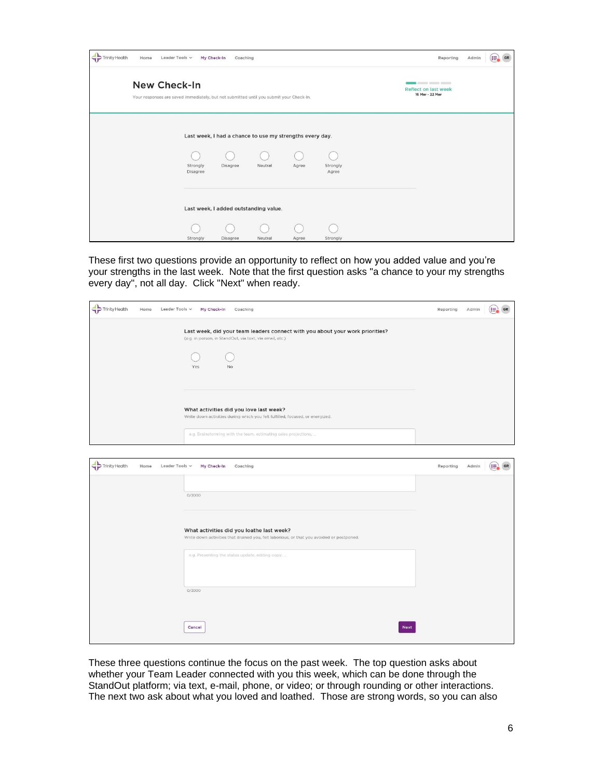| <b>Trinity Health</b> | Home | Leader Tools ~                                                                                          | My Check-In<br>Coaching                                  |         |       |                   | Reporting<br>Admin                                                                          | (≔)<br>GR |
|-----------------------|------|---------------------------------------------------------------------------------------------------------|----------------------------------------------------------|---------|-------|-------------------|---------------------------------------------------------------------------------------------|-----------|
|                       |      | New Check-In<br>Your responses are saved immediately, but not submitted until you submit your Check-In. |                                                          |         |       |                   | $\sim$ $\sim$ $\sim$ $\sim$ $\sim$ $\sim$<br><b>Reflect on last week</b><br>16 Mar - 22 Mar |           |
|                       |      |                                                                                                         | Last week, I had a chance to use my strengths every day. |         |       |                   |                                                                                             |           |
|                       |      | Strongly<br>Disagree                                                                                    | Disagree                                                 | Neutral | Agree | Strongly<br>Agree |                                                                                             |           |
|                       |      |                                                                                                         | Last week, I added outstanding value.                    |         |       |                   |                                                                                             |           |
|                       |      | Strongly                                                                                                | Disagree                                                 | Neutral | Agree | Strongly          |                                                                                             |           |

These first two questions provide an opportunity to reflect on how you added value and you're your strengths in the last week. Note that the first question asks "a chance to your my strengths every day", not all day. Click "Next" when ready.

| Trinity Health<br>Home | Leader Tools ~<br>My Check-In<br>Coaching                                                                                                                                                   | Reporting | Admin | GR<br>(:≡        |
|------------------------|---------------------------------------------------------------------------------------------------------------------------------------------------------------------------------------------|-----------|-------|------------------|
|                        | Last week, did your team leaders connect with you about your work priorities?<br>(e.g. in person, in StandOut, via text, via email, etc.)<br>Yes<br>No                                      |           |       |                  |
|                        | What activities did you love last week?<br>Write down activities during which you felt fulfilled, focused, or energized.<br>e.g. Brainstorming with the team, estimating sales projections, |           |       |                  |
| Trinity Health<br>Home | Leader Tools ~<br>My Check-In<br>Coaching                                                                                                                                                   | Reporting | Admin | $(\equiv)$<br>GR |
|                        | 0/2000                                                                                                                                                                                      |           |       |                  |
|                        | What activities did you loathe last week?<br>Write down activities that drained you, felt laborious, or that you avoided or postponed.                                                      |           |       |                  |
|                        | e.g. Presenting the status update, editing copy,                                                                                                                                            |           |       |                  |
|                        | 0/2000                                                                                                                                                                                      |           |       |                  |

These three questions continue the focus on the past week. The top question asks about whether your Team Leader connected with you this week, which can be done through the StandOut platform; via text, e-mail, phone, or video; or through rounding or other interactions. The next two ask about what you loved and loathed. Those are strong words, so you can also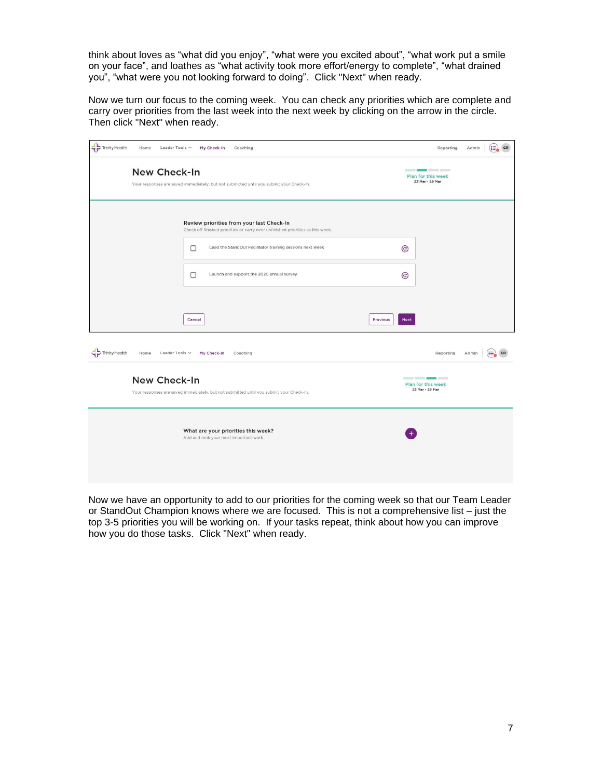think about loves as "what did you enjoy", "what were you excited about", "what work put a smile on your face", and loathes as "what activity took more effort/energy to complete", "what drained you", "what were you not looking forward to doing". Click "Next" when ready.

Now we turn our focus to the coming week. You can check any priorities which are complete and carry over priorities from the last week into the next week by clicking on the arrow in the circle. Then click "Next" when ready.

| Trinity Health<br>Home<br>Leader Tools $\sim$              | My Check-In<br>Coaching                                                                                                      | Admin<br>₩<br>GR<br>Reporting                 |  |  |  |
|------------------------------------------------------------|------------------------------------------------------------------------------------------------------------------------------|-----------------------------------------------|--|--|--|
|                                                            | New Check-In<br>Your responses are saved immediately, but not submitted until you submit your Check-In.                      |                                               |  |  |  |
|                                                            | Review priorities from your last Check-In<br>Check off finished priorities or carry over unfinished priorities to this week. |                                               |  |  |  |
|                                                            | Lead the StandOut Facilitator training sessions next week<br>□                                                               | $\odot$                                       |  |  |  |
|                                                            | $\Box$<br>Launch and support the 2020 annual survey                                                                          | $^{\copyright}$                               |  |  |  |
|                                                            | Cancel                                                                                                                       | Previous<br><b>Next</b>                       |  |  |  |
| $\Leftrightarrow$ Trinity Health<br>Home<br>Leader Tools ~ | My Check-In<br>Coaching                                                                                                      | Reporting<br>Admin                            |  |  |  |
| New Check-In                                               | Your responses are saved immediately, but not submitted until you submit your Check-In.                                      | ----<br>Plan for this week<br>23 Mar - 29 Mar |  |  |  |
|                                                            | What are your priorities this week?<br>Add and rank your most important work.                                                |                                               |  |  |  |

Now we have an opportunity to add to our priorities for the coming week so that our Team Leader or StandOut Champion knows where we are focused. This is not a comprehensive list – just the top 3-5 priorities you will be working on. If your tasks repeat, think about how you can improve how you do those tasks. Click "Next" when ready.